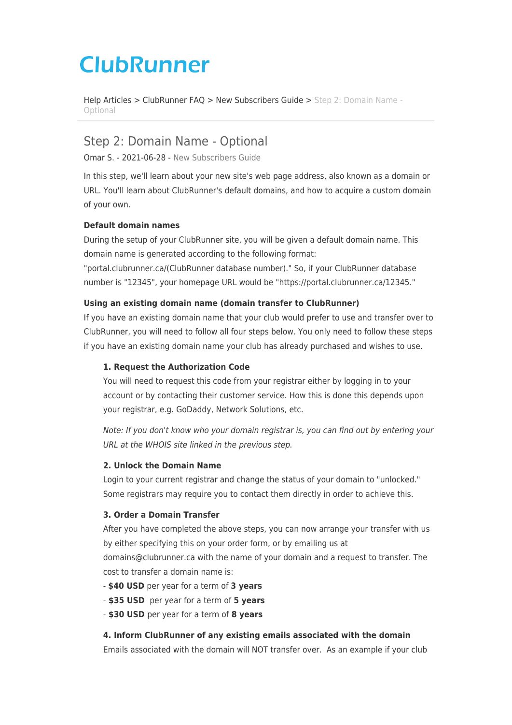# **ClubRunner**

[Help Articles](https://www.clubrunnersupport.com/kb) > [ClubRunner FAQ](https://www.clubrunnersupport.com/kb/clubrunner-faq) > [New Subscribers Guide](https://www.clubrunnersupport.com/kb/new-subscribers-guide) > [Step 2: Domain Name -](https://www.clubrunnersupport.com/kb/articles/step-2-domain-name-optional) [Optional](https://www.clubrunnersupport.com/kb/articles/step-2-domain-name-optional)

# Step 2: Domain Name - Optional

Omar S. - 2021-06-28 - [New Subscribers Guide](https://www.clubrunnersupport.com/kb/new-subscribers-guide)

In this step, we'll learn about your new site's web page address, also known as a domain or URL. You'll learn about ClubRunner's default domains, and how to acquire a custom domain of your own.

### **Default domain names**

During the setup of your ClubRunner site, you will be given a default domain name. This domain name is generated according to the following format:

"portal.clubrunner.ca/(ClubRunner database number)." So, if your ClubRunner database number is "12345", your homepage URL would be "https://portal.clubrunner.ca/12345."

#### **Using an existing domain name (domain transfer to ClubRunner)**

If you have an existing domain name that your club would prefer to use and transfer over to ClubRunner, you will need to follow all four steps below. You only need to follow these steps if you have an existing domain name your club has already purchased and wishes to use.

#### **1. Request the Authorization Code**

You will need to request this code from your registrar either by logging in to your account or by contacting their customer service. How this is done this depends upon your registrar, e.g. GoDaddy, Network Solutions, etc.

Note: If you don't know who your domain registrar is, you can find out by entering your URL at the WHOIS site linked in the previous step.

#### **2. Unlock the Domain Name**

Login to your current registrar and change the status of your domain to "unlocked." Some registrars may require you to contact them directly in order to achieve this.

## **3. Order a Domain Transfer**

After you have completed the above steps, you can now arrange your transfer with us by either specifying this on your order form, or by emailing us at

domains@clubrunner.ca with the name of your domain and a request to transfer. The cost to transfer a domain name is:

- **\$40 USD** per year for a term of **3 years**
- - **\$35 USD** per year for a term of **5 years**
- - **\$30 USD** per year for a term of **8 years**

#### **4. Inform ClubRunner of any existing emails associated with the domain**

Emails associated with the domain will NOT transfer over. As an example if your club